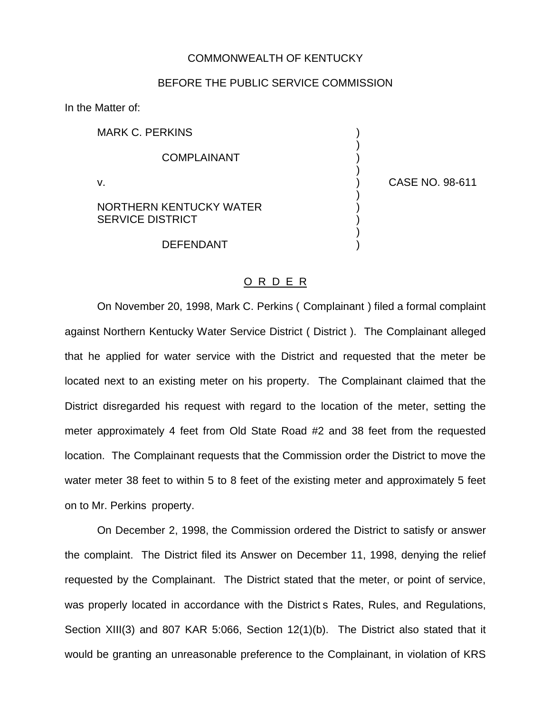## COMMONWEALTH OF KENTUCKY

## BEFORE THE PUBLIC SERVICE COMMISSION

In the Matter of:

MARK C. PERKINS **COMPLAINANT** v. ) CASE NO. 98-611 NORTHERN KENTUCKY WATER

**DEFENDANT** 

)

)

)

)

SERVICE DISTRICT (1999)

On November 20, 1998, Mark C. Perkins ( Complainant ) filed a formal complaint against Northern Kentucky Water Service District ( District ). The Complainant alleged that he applied for water service with the District and requested that the meter be located next to an existing meter on his property. The Complainant claimed that the District disregarded his request with regard to the location of the meter, setting the meter approximately 4 feet from Old State Road #2 and 38 feet from the requested location. The Complainant requests that the Commission order the District to move the water meter 38 feet to within 5 to 8 feet of the existing meter and approximately 5 feet on to Mr. Perkins property.

O R D E R

On December 2, 1998, the Commission ordered the District to satisfy or answer the complaint. The District filed its Answer on December 11, 1998, denying the relief requested by the Complainant. The District stated that the meter, or point of service, was properly located in accordance with the District s Rates, Rules, and Regulations, Section XIII(3) and 807 KAR 5:066, Section 12(1)(b). The District also stated that it would be granting an unreasonable preference to the Complainant, in violation of KRS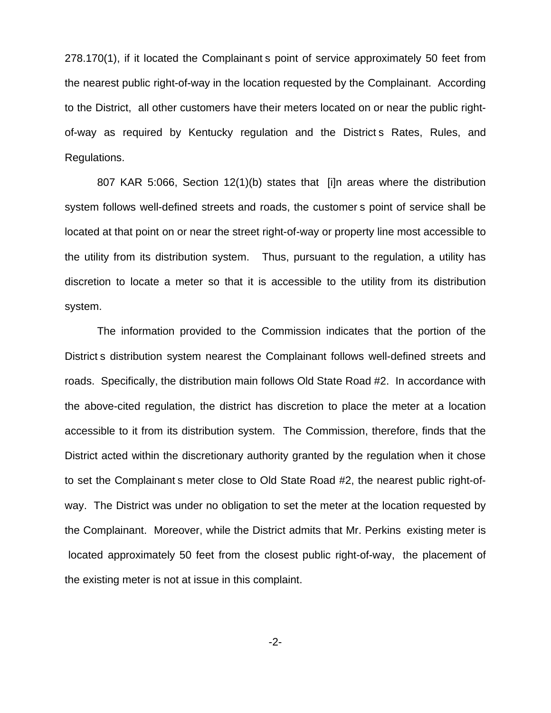278.170(1), if it located the Complainant s point of service approximately 50 feet from the nearest public right-of-way in the location requested by the Complainant. According to the District, all other customers have their meters located on or near the public rightof-way as required by Kentucky regulation and the District s Rates, Rules, and Regulations.

807 KAR 5:066, Section 12(1)(b) states that [i]n areas where the distribution system follows well-defined streets and roads, the customer s point of service shall be located at that point on or near the street right-of-way or property line most accessible to the utility from its distribution system. Thus, pursuant to the regulation, a utility has discretion to locate a meter so that it is accessible to the utility from its distribution system.

The information provided to the Commission indicates that the portion of the District s distribution system nearest the Complainant follows well-defined streets and roads. Specifically, the distribution main follows Old State Road #2. In accordance with the above-cited regulation, the district has discretion to place the meter at a location accessible to it from its distribution system. The Commission, therefore, finds that the District acted within the discretionary authority granted by the regulation when it chose to set the Complainant s meter close to Old State Road #2, the nearest public right-ofway. The District was under no obligation to set the meter at the location requested by the Complainant. Moreover, while the District admits that Mr. Perkins existing meter is located approximately 50 feet from the closest public right-of-way, the placement of the existing meter is not at issue in this complaint.

-2-